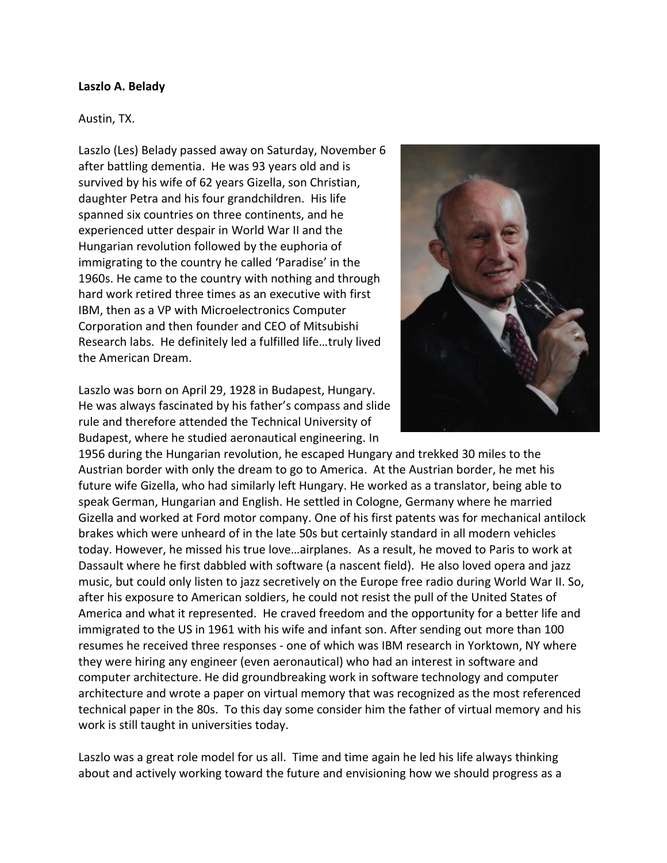## **Laszlo A. Belady**

## Austin, TX.

Laszlo (Les) Belady passed away on Saturday, November 6 after battling dementia. He was 93 years old and is survived by his wife of 62 years Gizella, son Christian, daughter Petra and his four grandchildren. His life spanned six countries on three continents, and he experienced utter despair in World War II and the Hungarian revolution followed by the euphoria of immigrating to the country he called 'Paradise' in the 1960s. He came to the country with nothing and through hard work retired three times as an executive with first IBM, then as a VP with Microelectronics Computer Corporation and then founder and CEO of Mitsubishi Research labs. He definitely led a fulfilled life…truly lived the American Dream.

Laszlo was born on April 29, 1928 in Budapest, Hungary. He was always fascinated by his father's compass and slide rule and therefore attended the Technical University of Budapest, where he studied aeronautical engineering. In



1956 during the Hungarian revolution, he escaped Hungary and trekked 30 miles to the Austrian border with only the dream to go to America. At the Austrian border, he met his future wife Gizella, who had similarly left Hungary. He worked as a translator, being able to speak German, Hungarian and English. He settled in Cologne, Germany where he married Gizella and worked at Ford motor company. One of his first patents was for mechanical antilock brakes which were unheard of in the late 50s but certainly standard in all modern vehicles today. However, he missed his true love…airplanes. As a result, he moved to Paris to work at Dassault where he first dabbled with software (a nascent field). He also loved opera and jazz music, but could only listen to jazz secretively on the Europe free radio during World War II. So, after his exposure to American soldiers, he could not resist the pull of the United States of America and what it represented. He craved freedom and the opportunity for a better life and immigrated to the US in 1961 with his wife and infant son. After sending out more than 100 resumes he received three responses - one of which was IBM research in Yorktown, NY where they were hiring any engineer (even aeronautical) who had an interest in software and computer architecture. He did groundbreaking work in software technology and computer architecture and wrote a paper on virtual memory that was recognized as the most referenced technical paper in the 80s. To this day some consider him the father of virtual memory and his work is still taught in universities today.

Laszlo was a great role model for us all. Time and time again he led his life always thinking about and actively working toward the future and envisioning how we should progress as a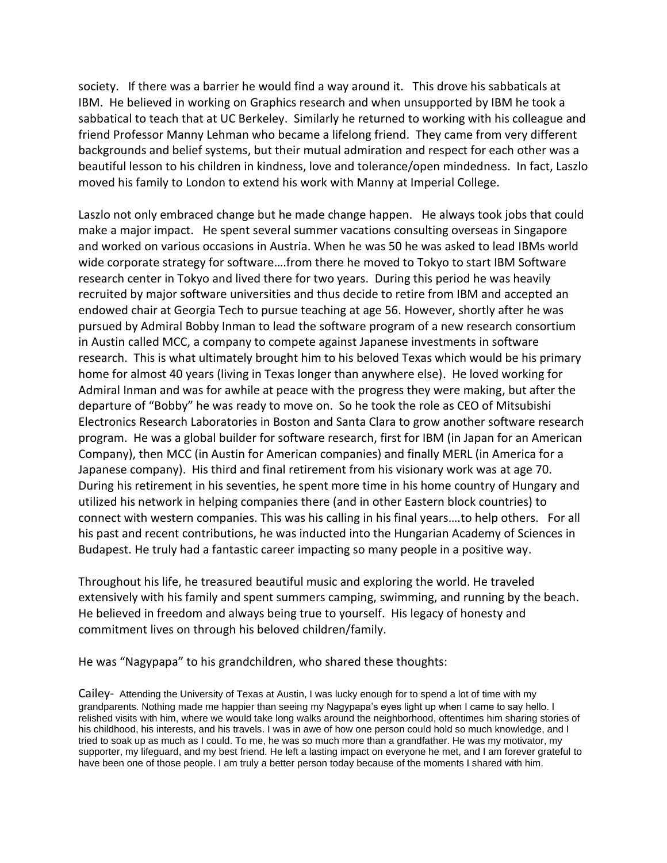society. If there was a barrier he would find a way around it. This drove his sabbaticals at IBM. He believed in working on Graphics research and when unsupported by IBM he took a sabbatical to teach that at UC Berkeley. Similarly he returned to working with his colleague and friend Professor Manny Lehman who became a lifelong friend. They came from very different backgrounds and belief systems, but their mutual admiration and respect for each other was a beautiful lesson to his children in kindness, love and tolerance/open mindedness. In fact, Laszlo moved his family to London to extend his work with Manny at Imperial College.

Laszlo not only embraced change but he made change happen. He always took jobs that could make a major impact. He spent several summer vacations consulting overseas in Singapore and worked on various occasions in Austria. When he was 50 he was asked to lead IBMs world wide corporate strategy for software….from there he moved to Tokyo to start IBM Software research center in Tokyo and lived there for two years. During this period he was heavily recruited by major software universities and thus decide to retire from IBM and accepted an endowed chair at Georgia Tech to pursue teaching at age 56. However, shortly after he was pursued by Admiral Bobby Inman to lead the software program of a new research consortium in Austin called MCC, a company to compete against Japanese investments in software research. This is what ultimately brought him to his beloved Texas which would be his primary home for almost 40 years (living in Texas longer than anywhere else). He loved working for Admiral Inman and was for awhile at peace with the progress they were making, but after the departure of "Bobby" he was ready to move on. So he took the role as CEO of Mitsubishi Electronics Research Laboratories in Boston and Santa Clara to grow another software research program. He was a global builder for software research, first for IBM (in Japan for an American Company), then MCC (in Austin for American companies) and finally MERL (in America for a Japanese company). His third and final retirement from his visionary work was at age 70. During his retirement in his seventies, he spent more time in his home country of Hungary and utilized his network in helping companies there (and in other Eastern block countries) to connect with western companies. This was his calling in his final years….to help others. For all his past and recent contributions, he was inducted into the Hungarian Academy of Sciences in Budapest. He truly had a fantastic career impacting so many people in a positive way.

Throughout his life, he treasured beautiful music and exploring the world. He traveled extensively with his family and spent summers camping, swimming, and running by the beach. He believed in freedom and always being true to yourself. His legacy of honesty and commitment lives on through his beloved children/family.

He was "Nagypapa" to his grandchildren, who shared these thoughts:

Cailey- Attending the University of Texas at Austin, I was lucky enough for to spend a lot of time with my grandparents. Nothing made me happier than seeing my Nagypapa's eyes light up when I came to say hello. I relished visits with him, where we would take long walks around the neighborhood, oftentimes him sharing stories of his childhood, his interests, and his travels. I was in awe of how one person could hold so much knowledge, and I tried to soak up as much as I could. To me, he was so much more than a grandfather. He was my motivator, my supporter, my lifeguard, and my best friend. He left a lasting impact on everyone he met, and I am forever grateful to have been one of those people. I am truly a better person today because of the moments I shared with him.